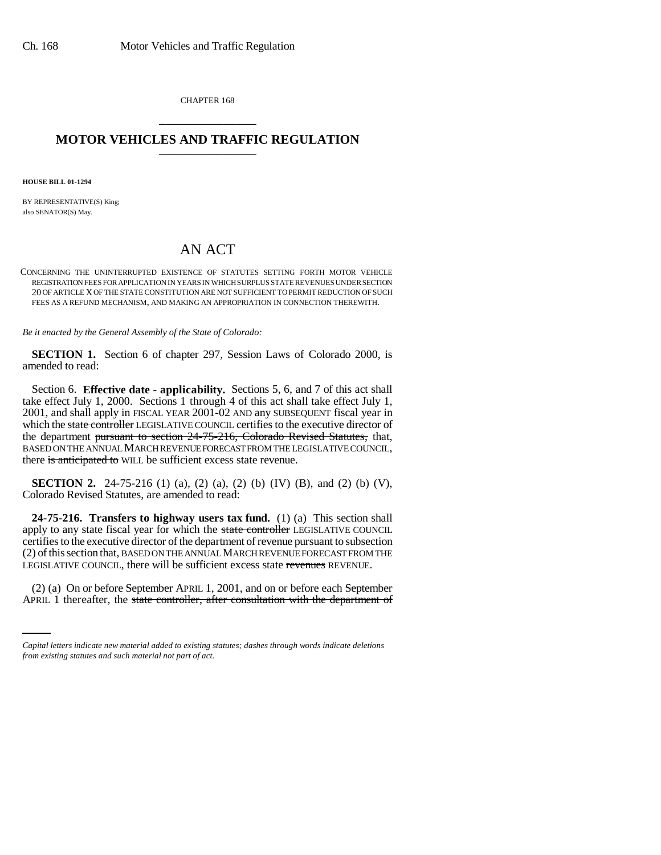CHAPTER 168 \_\_\_\_\_\_\_\_\_\_\_\_\_\_\_

## **MOTOR VEHICLES AND TRAFFIC REGULATION** \_\_\_\_\_\_\_\_\_\_\_\_\_\_\_

**HOUSE BILL 01-1294**

BY REPRESENTATIVE(S) King; also SENATOR(S) May.

# AN ACT

CONCERNING THE UNINTERRUPTED EXISTENCE OF STATUTES SETTING FORTH MOTOR VEHICLE REGISTRATION FEES FOR APPLICATION IN YEARS IN WHICH SURPLUS STATE REVENUES UNDER SECTION 20 OF ARTICLE X OF THE STATE CONSTITUTION ARE NOT SUFFICIENT TO PERMIT REDUCTION OF SUCH FEES AS A REFUND MECHANISM, AND MAKING AN APPROPRIATION IN CONNECTION THEREWITH.

*Be it enacted by the General Assembly of the State of Colorado:*

**SECTION 1.** Section 6 of chapter 297, Session Laws of Colorado 2000, is amended to read:

Section 6. **Effective date - applicability.** Sections 5, 6, and 7 of this act shall take effect July 1, 2000. Sections 1 through 4 of this act shall take effect July 1, 2001, and shall apply in FISCAL YEAR 2001-02 AND any SUBSEQUENT fiscal year in which the state controller LEGISLATIVE COUNCIL certifies to the executive director of the department pursuant to section 24-75-216, Colorado Revised Statutes, that, BASED ON THE ANNUAL MARCH REVENUE FORECAST FROM THE LEGISLATIVE COUNCIL, there is anticipated to WILL be sufficient excess state revenue.

**SECTION 2.** 24-75-216 (1) (a), (2) (a), (2) (b) (IV) (B), and (2) (b) (V), Colorado Revised Statutes, are amended to read:

**24-75-216. Transfers to highway users tax fund.** (1) (a) This section shall apply to any state fiscal year for which the state controller LEGISLATIVE COUNCIL certifies to the executive director of the department of revenue pursuant to subsection (2) of this section that, BASED ON THE ANNUAL MARCH REVENUE FORECAST FROM THE LEGISLATIVE COUNCIL, there will be sufficient excess state revenues REVENUE.

 (2) (a) On or before September APRIL 1, 2001, and on or before each September APRIL 1 thereafter, the state controller, after consultation with the department of

*Capital letters indicate new material added to existing statutes; dashes through words indicate deletions from existing statutes and such material not part of act.*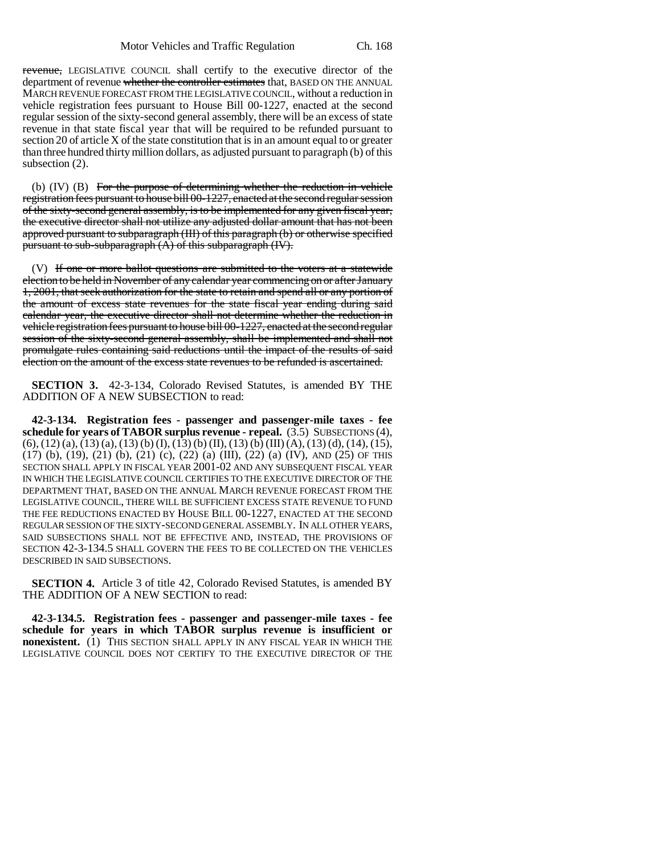revenue, LEGISLATIVE COUNCIL shall certify to the executive director of the department of revenue whether the controller estimates that, BASED ON THE ANNUAL MARCH REVENUE FORECAST FROM THE LEGISLATIVE COUNCIL, without a reduction in vehicle registration fees pursuant to House Bill 00-1227, enacted at the second regular session of the sixty-second general assembly, there will be an excess of state revenue in that state fiscal year that will be required to be refunded pursuant to section 20 of article X of the state constitution that is in an amount equal to or greater than three hundred thirty million dollars, as adjusted pursuant to paragraph (b) of this subsection (2).

(b) (IV) (B) For the purpose of determining whether the reduction in vehicle registration fees pursuant to house bill 00-1227, enacted at the second regular session of the sixty-second general assembly, is to be implemented for any given fiscal year, the executive director shall not utilize any adjusted dollar amount that has not been approved pursuant to subparagraph (III) of this paragraph (b) or otherwise specified pursuant to sub-subparagraph (A) of this subparagraph (IV).

(V) If one or more ballot questions are submitted to the voters at a statewide election to be held in November of any calendar year commencing on or after January 1, 2001, that seek authorization for the state to retain and spend all or any portion of the amount of excess state revenues for the state fiscal year ending during said calendar year, the executive director shall not determine whether the reduction in vehicle registration fees pursuant to house bill 00-1227, enacted at the second regular session of the sixty-second general assembly, shall be implemented and shall not promulgate rules containing said reductions until the impact of the results of said election on the amount of the excess state revenues to be refunded is ascertained.

**SECTION 3.** 42-3-134, Colorado Revised Statutes, is amended BY THE ADDITION OF A NEW SUBSECTION to read:

**42-3-134. Registration fees - passenger and passenger-mile taxes - fee schedule for years of TABOR surplus revenue - repeal.** (3.5) SUBSECTIONS (4),  $(6)$ ,  $(12)$   $(a)$ ,  $(13)$   $(a)$ ,  $(13)$   $(b)$   $(I)$ ,  $(13)$   $(b)$   $(II)$ ,  $(13)$   $(b)$   $(III)$   $(A)$ ,  $(13)$   $(d)$ ,  $(14)$ ,  $(15)$ , (17) (b), (19), (21) (b), (21) (c), (22) (a) (III), (22) (a) (IV), AND (25) OF THIS SECTION SHALL APPLY IN FISCAL YEAR 2001-02 AND ANY SUBSEQUENT FISCAL YEAR IN WHICH THE LEGISLATIVE COUNCIL CERTIFIES TO THE EXECUTIVE DIRECTOR OF THE DEPARTMENT THAT, BASED ON THE ANNUAL MARCH REVENUE FORECAST FROM THE LEGISLATIVE COUNCIL, THERE WILL BE SUFFICIENT EXCESS STATE REVENUE TO FUND THE FEE REDUCTIONS ENACTED BY HOUSE BILL 00-1227, ENACTED AT THE SECOND REGULAR SESSION OF THE SIXTY-SECOND GENERAL ASSEMBLY. IN ALL OTHER YEARS, SAID SUBSECTIONS SHALL NOT BE EFFECTIVE AND, INSTEAD, THE PROVISIONS OF SECTION 42-3-134.5 SHALL GOVERN THE FEES TO BE COLLECTED ON THE VEHICLES DESCRIBED IN SAID SUBSECTIONS.

**SECTION 4.** Article 3 of title 42, Colorado Revised Statutes, is amended BY THE ADDITION OF A NEW SECTION to read:

**42-3-134.5. Registration fees - passenger and passenger-mile taxes - fee schedule for years in which TABOR surplus revenue is insufficient or nonexistent.** (1) THIS SECTION SHALL APPLY IN ANY FISCAL YEAR IN WHICH THE LEGISLATIVE COUNCIL DOES NOT CERTIFY TO THE EXECUTIVE DIRECTOR OF THE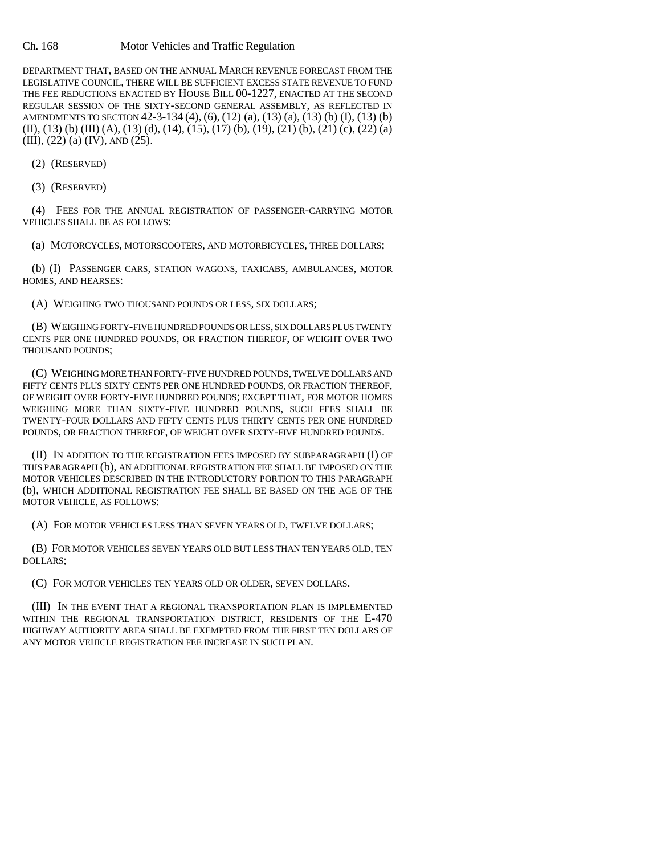#### Ch. 168 Motor Vehicles and Traffic Regulation

DEPARTMENT THAT, BASED ON THE ANNUAL MARCH REVENUE FORECAST FROM THE LEGISLATIVE COUNCIL, THERE WILL BE SUFFICIENT EXCESS STATE REVENUE TO FUND THE FEE REDUCTIONS ENACTED BY HOUSE BILL 00-1227, ENACTED AT THE SECOND REGULAR SESSION OF THE SIXTY-SECOND GENERAL ASSEMBLY, AS REFLECTED IN AMENDMENTS TO SECTION 42-3-134 (4), (6), (12) (a), (13) (a), (13) (b) (I), (13) (b) (II), (13) (b) (III) (A), (13) (d), (14), (15), (17) (b), (19), (21) (b), (21) (c), (22) (a) (III), (22) (a) (IV), AND (25).

(2) (RESERVED)

(3) (RESERVED)

(4) FEES FOR THE ANNUAL REGISTRATION OF PASSENGER-CARRYING MOTOR VEHICLES SHALL BE AS FOLLOWS:

(a) MOTORCYCLES, MOTORSCOOTERS, AND MOTORBICYCLES, THREE DOLLARS;

(b) (I) PASSENGER CARS, STATION WAGONS, TAXICABS, AMBULANCES, MOTOR HOMES, AND HEARSES:

(A) WEIGHING TWO THOUSAND POUNDS OR LESS, SIX DOLLARS;

(B) WEIGHING FORTY-FIVE HUNDRED POUNDS OR LESS, SIX DOLLARS PLUS TWENTY CENTS PER ONE HUNDRED POUNDS, OR FRACTION THEREOF, OF WEIGHT OVER TWO THOUSAND POUNDS;

(C) WEIGHING MORE THAN FORTY-FIVE HUNDRED POUNDS, TWELVE DOLLARS AND FIFTY CENTS PLUS SIXTY CENTS PER ONE HUNDRED POUNDS, OR FRACTION THEREOF, OF WEIGHT OVER FORTY-FIVE HUNDRED POUNDS; EXCEPT THAT, FOR MOTOR HOMES WEIGHING MORE THAN SIXTY-FIVE HUNDRED POUNDS, SUCH FEES SHALL BE TWENTY-FOUR DOLLARS AND FIFTY CENTS PLUS THIRTY CENTS PER ONE HUNDRED POUNDS, OR FRACTION THEREOF, OF WEIGHT OVER SIXTY-FIVE HUNDRED POUNDS.

(II) IN ADDITION TO THE REGISTRATION FEES IMPOSED BY SUBPARAGRAPH (I) OF THIS PARAGRAPH (b), AN ADDITIONAL REGISTRATION FEE SHALL BE IMPOSED ON THE MOTOR VEHICLES DESCRIBED IN THE INTRODUCTORY PORTION TO THIS PARAGRAPH (b), WHICH ADDITIONAL REGISTRATION FEE SHALL BE BASED ON THE AGE OF THE MOTOR VEHICLE, AS FOLLOWS:

(A) FOR MOTOR VEHICLES LESS THAN SEVEN YEARS OLD, TWELVE DOLLARS;

(B) FOR MOTOR VEHICLES SEVEN YEARS OLD BUT LESS THAN TEN YEARS OLD, TEN DOLLARS;

(C) FOR MOTOR VEHICLES TEN YEARS OLD OR OLDER, SEVEN DOLLARS.

(III) IN THE EVENT THAT A REGIONAL TRANSPORTATION PLAN IS IMPLEMENTED WITHIN THE REGIONAL TRANSPORTATION DISTRICT, RESIDENTS OF THE E-470 HIGHWAY AUTHORITY AREA SHALL BE EXEMPTED FROM THE FIRST TEN DOLLARS OF ANY MOTOR VEHICLE REGISTRATION FEE INCREASE IN SUCH PLAN.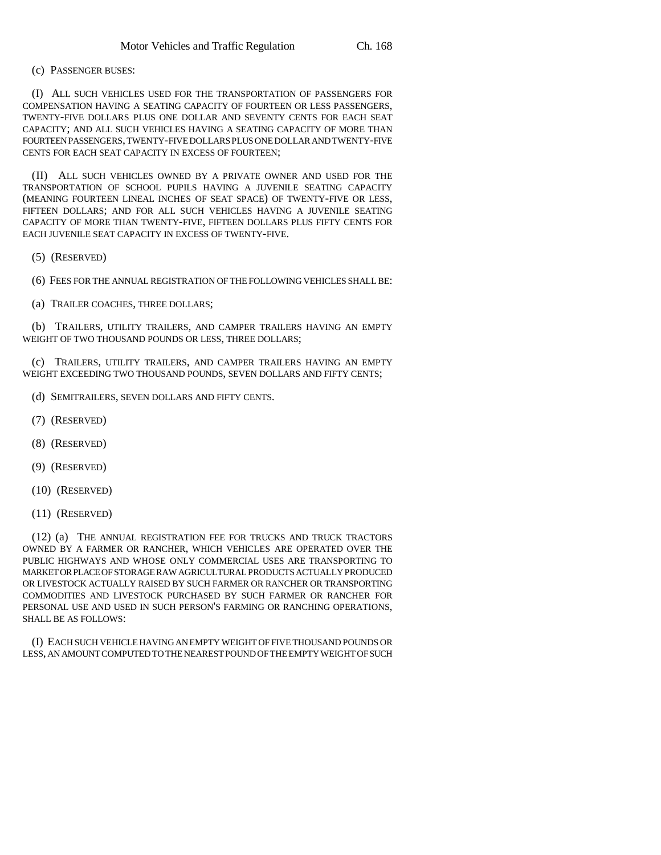#### (c) PASSENGER BUSES:

(I) ALL SUCH VEHICLES USED FOR THE TRANSPORTATION OF PASSENGERS FOR COMPENSATION HAVING A SEATING CAPACITY OF FOURTEEN OR LESS PASSENGERS, TWENTY-FIVE DOLLARS PLUS ONE DOLLAR AND SEVENTY CENTS FOR EACH SEAT CAPACITY; AND ALL SUCH VEHICLES HAVING A SEATING CAPACITY OF MORE THAN FOURTEEN PASSENGERS, TWENTY-FIVE DOLLARS PLUS ONE DOLLAR AND TWENTY-FIVE CENTS FOR EACH SEAT CAPACITY IN EXCESS OF FOURTEEN;

(II) ALL SUCH VEHICLES OWNED BY A PRIVATE OWNER AND USED FOR THE TRANSPORTATION OF SCHOOL PUPILS HAVING A JUVENILE SEATING CAPACITY (MEANING FOURTEEN LINEAL INCHES OF SEAT SPACE) OF TWENTY-FIVE OR LESS, FIFTEEN DOLLARS; AND FOR ALL SUCH VEHICLES HAVING A JUVENILE SEATING CAPACITY OF MORE THAN TWENTY-FIVE, FIFTEEN DOLLARS PLUS FIFTY CENTS FOR EACH JUVENILE SEAT CAPACITY IN EXCESS OF TWENTY-FIVE.

(5) (RESERVED)

(6) FEES FOR THE ANNUAL REGISTRATION OF THE FOLLOWING VEHICLES SHALL BE:

(a) TRAILER COACHES, THREE DOLLARS;

(b) TRAILERS, UTILITY TRAILERS, AND CAMPER TRAILERS HAVING AN EMPTY WEIGHT OF TWO THOUSAND POUNDS OR LESS, THREE DOLLARS;

(c) TRAILERS, UTILITY TRAILERS, AND CAMPER TRAILERS HAVING AN EMPTY WEIGHT EXCEEDING TWO THOUSAND POUNDS, SEVEN DOLLARS AND FIFTY CENTS;

- (d) SEMITRAILERS, SEVEN DOLLARS AND FIFTY CENTS.
- (7) (RESERVED)
- (8) (RESERVED)
- (9) (RESERVED)
- (10) (RESERVED)
- (11) (RESERVED)

(12) (a) THE ANNUAL REGISTRATION FEE FOR TRUCKS AND TRUCK TRACTORS OWNED BY A FARMER OR RANCHER, WHICH VEHICLES ARE OPERATED OVER THE PUBLIC HIGHWAYS AND WHOSE ONLY COMMERCIAL USES ARE TRANSPORTING TO MARKET OR PLACE OF STORAGE RAW AGRICULTURAL PRODUCTS ACTUALLY PRODUCED OR LIVESTOCK ACTUALLY RAISED BY SUCH FARMER OR RANCHER OR TRANSPORTING COMMODITIES AND LIVESTOCK PURCHASED BY SUCH FARMER OR RANCHER FOR PERSONAL USE AND USED IN SUCH PERSON'S FARMING OR RANCHING OPERATIONS, SHALL BE AS FOLLOWS:

(I) EACH SUCH VEHICLE HAVING AN EMPTY WEIGHT OF FIVE THOUSAND POUNDS OR LESS, AN AMOUNT COMPUTED TO THE NEAREST POUND OF THE EMPTY WEIGHT OF SUCH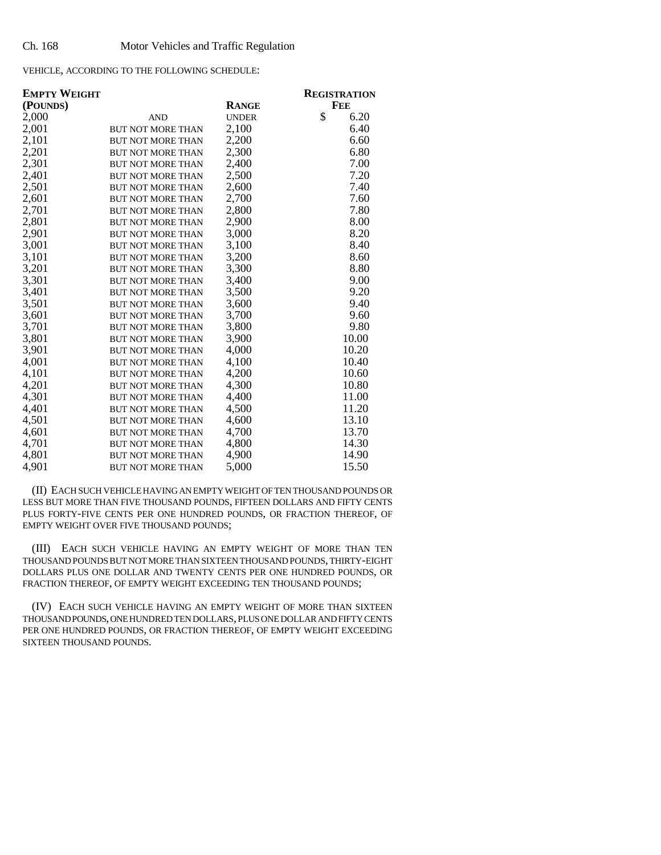VEHICLE, ACCORDING TO THE FOLLOWING SCHEDULE:

| <b>EMPTY WEIGHT</b> |                          |              | <b>REGISTRATION</b> |
|---------------------|--------------------------|--------------|---------------------|
| (POUNDS)            |                          | <b>RANGE</b> | FEE                 |
| 2,000               | <b>AND</b>               | <b>UNDER</b> | \$<br>6.20          |
| 2,001               | <b>BUT NOT MORE THAN</b> | 2,100        | 6.40                |
| 2,101               | <b>BUT NOT MORE THAN</b> | 2,200        | 6.60                |
| 2,201               | <b>BUT NOT MORE THAN</b> | 2,300        | 6.80                |
| 2,301               | <b>BUT NOT MORE THAN</b> | 2,400        | 7.00                |
| 2,401               | <b>BUT NOT MORE THAN</b> | 2,500        | 7.20                |
| 2,501               | <b>BUT NOT MORE THAN</b> | 2,600        | 7.40                |
| 2,601               | <b>BUT NOT MORE THAN</b> | 2,700        | 7.60                |
| 2,701               | <b>BUT NOT MORE THAN</b> | 2,800        | 7.80                |
| 2,801               | <b>BUT NOT MORE THAN</b> | 2,900        | 8.00                |
| 2,901               | <b>BUT NOT MORE THAN</b> | 3,000        | 8.20                |
| 3,001               | <b>BUT NOT MORE THAN</b> | 3,100        | 8.40                |
| 3,101               | <b>BUT NOT MORE THAN</b> | 3,200        | 8.60                |
| 3,201               | <b>BUT NOT MORE THAN</b> | 3,300        | 8.80                |
| 3,301               | <b>BUT NOT MORE THAN</b> | 3,400        | 9.00                |
| 3,401               | <b>BUT NOT MORE THAN</b> | 3,500        | 9.20                |
| 3,501               | <b>BUT NOT MORE THAN</b> | 3,600        | 9.40                |
| 3,601               | <b>BUT NOT MORE THAN</b> | 3,700        | 9.60                |
| 3,701               | <b>BUT NOT MORE THAN</b> | 3,800        | 9.80                |
| 3,801               | <b>BUT NOT MORE THAN</b> | 3,900        | 10.00               |
| 3,901               | <b>BUT NOT MORE THAN</b> | 4,000        | 10.20               |
| 4,001               | <b>BUT NOT MORE THAN</b> | 4,100        | 10.40               |
| 4,101               | <b>BUT NOT MORE THAN</b> | 4,200        | 10.60               |
| 4,201               | <b>BUT NOT MORE THAN</b> | 4,300        | 10.80               |
| 4,301               | <b>BUT NOT MORE THAN</b> | 4,400        | 11.00               |
| 4,401               | <b>BUT NOT MORE THAN</b> | 4,500        | 11.20               |
| 4,501               | <b>BUT NOT MORE THAN</b> | 4,600        | 13.10               |
| 4,601               | <b>BUT NOT MORE THAN</b> | 4,700        | 13.70               |
| 4,701               | <b>BUT NOT MORE THAN</b> | 4,800        | 14.30               |
| 4,801               | <b>BUT NOT MORE THAN</b> | 4,900        | 14.90               |
| 4,901               | <b>BUT NOT MORE THAN</b> | 5,000        | 15.50               |

(II) EACH SUCH VEHICLE HAVING AN EMPTY WEIGHT OF TEN THOUSAND POUNDS OR LESS BUT MORE THAN FIVE THOUSAND POUNDS, FIFTEEN DOLLARS AND FIFTY CENTS PLUS FORTY-FIVE CENTS PER ONE HUNDRED POUNDS, OR FRACTION THEREOF, OF EMPTY WEIGHT OVER FIVE THOUSAND POUNDS;

(III) EACH SUCH VEHICLE HAVING AN EMPTY WEIGHT OF MORE THAN TEN THOUSAND POUNDS BUT NOT MORE THAN SIXTEEN THOUSAND POUNDS, THIRTY-EIGHT DOLLARS PLUS ONE DOLLAR AND TWENTY CENTS PER ONE HUNDRED POUNDS, OR FRACTION THEREOF, OF EMPTY WEIGHT EXCEEDING TEN THOUSAND POUNDS;

(IV) EACH SUCH VEHICLE HAVING AN EMPTY WEIGHT OF MORE THAN SIXTEEN THOUSAND POUNDS, ONE HUNDRED TEN DOLLARS, PLUS ONE DOLLAR AND FIFTY CENTS PER ONE HUNDRED POUNDS, OR FRACTION THEREOF, OF EMPTY WEIGHT EXCEEDING SIXTEEN THOUSAND POUNDS.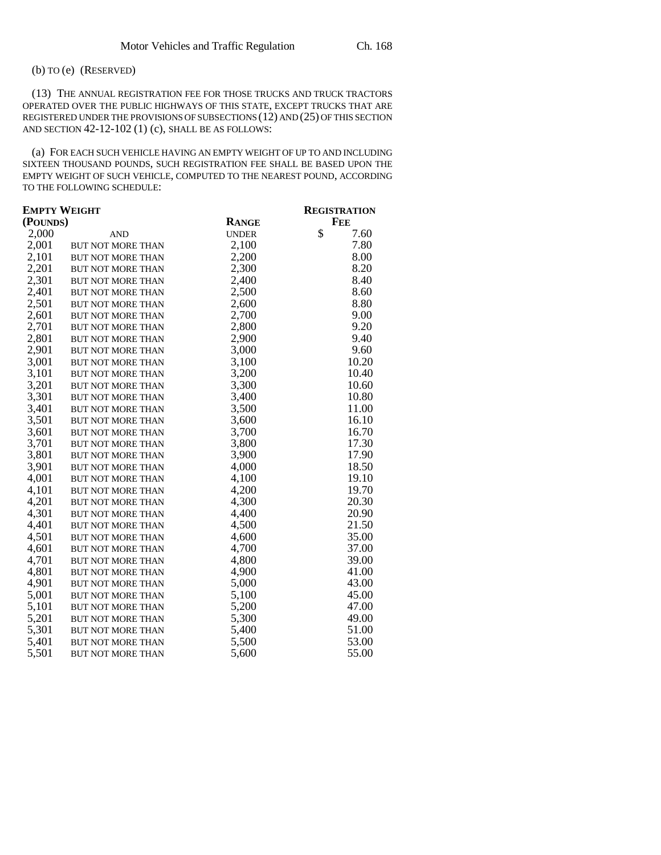## (b) TO (e) (RESERVED)

(13) THE ANNUAL REGISTRATION FEE FOR THOSE TRUCKS AND TRUCK TRACTORS OPERATED OVER THE PUBLIC HIGHWAYS OF THIS STATE, EXCEPT TRUCKS THAT ARE REGISTERED UNDER THE PROVISIONS OF SUBSECTIONS (12) AND (25) OF THIS SECTION AND SECTION 42-12-102 (1) (c), SHALL BE AS FOLLOWS:

(a) FOR EACH SUCH VEHICLE HAVING AN EMPTY WEIGHT OF UP TO AND INCLUDING SIXTEEN THOUSAND POUNDS, SUCH REGISTRATION FEE SHALL BE BASED UPON THE EMPTY WEIGHT OF SUCH VEHICLE, COMPUTED TO THE NEAREST POUND, ACCORDING TO THE FOLLOWING SCHEDULE:

| <b>EMPTY WEIGHT</b> |                          |              | <b>REGISTRATION</b> |  |
|---------------------|--------------------------|--------------|---------------------|--|
| (POUNDS)            |                          | <b>RANGE</b> | <b>FEE</b>          |  |
| 2,000               | <b>AND</b>               | <b>UNDER</b> | \$<br>7.60          |  |
| 2,001               | BUT NOT MORE THAN        | 2,100        | 7.80                |  |
| 2,101               | <b>BUT NOT MORE THAN</b> | 2,200        | 8.00                |  |
| 2,201               | <b>BUT NOT MORE THAN</b> | 2,300        | 8.20                |  |
| 2,301               | <b>BUT NOT MORE THAN</b> | 2,400        | 8.40                |  |
| 2,401               | <b>BUT NOT MORE THAN</b> | 2,500        | 8.60                |  |
| 2,501               | <b>BUT NOT MORE THAN</b> | 2,600        | 8.80                |  |
| 2,601               | <b>BUT NOT MORE THAN</b> | 2,700        | 9.00                |  |
| 2,701               | <b>BUT NOT MORE THAN</b> | 2,800        | 9.20                |  |
| 2,801               | <b>BUT NOT MORE THAN</b> | 2,900        | 9.40                |  |
| 2,901               | <b>BUT NOT MORE THAN</b> | 3,000        | 9.60                |  |
| 3,001               | <b>BUT NOT MORE THAN</b> | 3,100        | 10.20               |  |
| 3,101               | <b>BUT NOT MORE THAN</b> | 3,200        | 10.40               |  |
| 3,201               | BUT NOT MORE THAN        | 3,300        | 10.60               |  |
| 3,301               | <b>BUT NOT MORE THAN</b> | 3,400        | 10.80               |  |
| 3,401               | <b>BUT NOT MORE THAN</b> | 3,500        | 11.00               |  |
| 3,501               | <b>BUT NOT MORE THAN</b> | 3,600        | 16.10               |  |
| 3,601               | BUT NOT MORE THAN        | 3,700        | 16.70               |  |
| 3,701               | <b>BUT NOT MORE THAN</b> | 3,800        | 17.30               |  |
| 3,801               | <b>BUT NOT MORE THAN</b> | 3,900        | 17.90               |  |
| 3,901               | <b>BUT NOT MORE THAN</b> | 4,000        | 18.50               |  |
| 4,001               | <b>BUT NOT MORE THAN</b> | 4,100        | 19.10               |  |
| 4,101               | <b>BUT NOT MORE THAN</b> | 4,200        | 19.70               |  |
| 4,201               | <b>BUT NOT MORE THAN</b> | 4,300        | 20.30               |  |
| 4,301               | <b>BUT NOT MORE THAN</b> | 4,400        | 20.90               |  |
| 4,401               | <b>BUT NOT MORE THAN</b> | 4,500        | 21.50               |  |
| 4,501               | <b>BUT NOT MORE THAN</b> | 4,600        | 35.00               |  |
| 4,601               | <b>BUT NOT MORE THAN</b> | 4,700        | 37.00               |  |
| 4,701               | <b>BUT NOT MORE THAN</b> | 4,800        | 39.00               |  |
| 4,801               | <b>BUT NOT MORE THAN</b> | 4,900        | 41.00               |  |
| 4,901               | BUT NOT MORE THAN        | 5,000        | 43.00               |  |
| 5,001               | <b>BUT NOT MORE THAN</b> | 5,100        | 45.00               |  |
| 5,101               | BUT NOT MORE THAN        | 5,200        | 47.00               |  |
| 5,201               | BUT NOT MORE THAN        | 5,300        | 49.00               |  |
| 5,301               | <b>BUT NOT MORE THAN</b> | 5,400        | 51.00               |  |
| 5,401               | BUT NOT MORE THAN        | 5,500        | 53.00               |  |
| 5,501               | <b>BUT NOT MORE THAN</b> | 5,600        | 55.00               |  |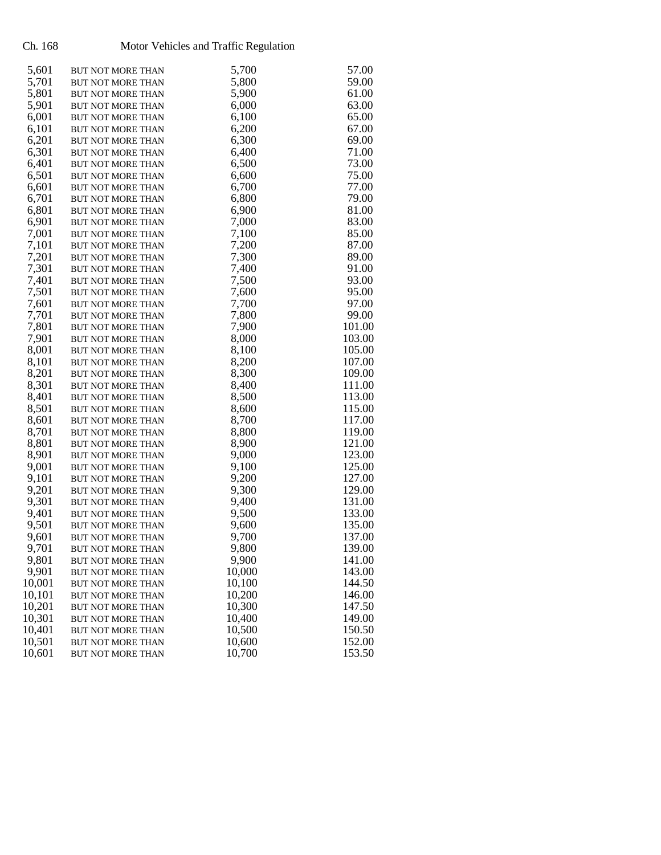# Ch. 168 Motor Vehicles and Traffic Regulation

| 5,601            | <b>BUT NOT MORE THAN</b>                             | 5,700            | 57.00            |
|------------------|------------------------------------------------------|------------------|------------------|
| 5,701            | BUT NOT MORE THAN                                    | 5,800            | 59.00            |
| 5,801            | <b>BUT NOT MORE THAN</b>                             | 5,900            | 61.00            |
| 5,901            | <b>BUT NOT MORE THAN</b>                             | 6,000            | 63.00            |
| 6,001            | <b>BUT NOT MORE THAN</b>                             | 6,100            | 65.00            |
| 6,101            | <b>BUT NOT MORE THAN</b>                             | 6,200            | 67.00            |
| 6,201            | BUT NOT MORE THAN                                    | 6,300            | 69.00            |
| 6,301            | BUT NOT MORE THAN                                    | 6,400            | 71.00            |
| 6,401            | <b>BUT NOT MORE THAN</b>                             | 6,500            | 73.00            |
| 6,501            | <b>BUT NOT MORE THAN</b>                             | 6,600            | 75.00            |
| 6,601            | <b>BUT NOT MORE THAN</b>                             | 6,700            | 77.00            |
| 6,701            | <b>BUT NOT MORE THAN</b>                             | 6,800            | 79.00            |
| 6,801            | <b>BUT NOT MORE THAN</b>                             | 6,900            | 81.00            |
| 6,901            | <b>BUT NOT MORE THAN</b>                             | 7,000            | 83.00            |
| 7,001            | <b>BUT NOT MORE THAN</b>                             | 7,100            | 85.00            |
| 7,101            | <b>BUT NOT MORE THAN</b>                             | 7,200            | 87.00            |
| 7,201            | BUT NOT MORE THAN                                    | 7,300            | 89.00            |
| 7,301            | BUT NOT MORE THAN                                    | 7,400            | 91.00            |
| 7,401            | <b>BUT NOT MORE THAN</b>                             | 7,500            | 93.00            |
| 7,501            | <b>BUT NOT MORE THAN</b>                             | 7,600            | 95.00            |
| 7,601            | <b>BUT NOT MORE THAN</b>                             | 7,700            | 97.00            |
| 7,701            | <b>BUT NOT MORE THAN</b>                             | 7,800            | 99.00            |
| 7,801            | BUT NOT MORE THAN                                    | 7,900            | 101.00           |
| 7,901            | <b>BUT NOT MORE THAN</b>                             | 8,000            | 103.00           |
| 8,001            | <b>BUT NOT MORE THAN</b>                             | 8,100            | 105.00           |
| 8,101            | <b>BUT NOT MORE THAN</b>                             | 8,200            | 107.00           |
| 8,201            | BUT NOT MORE THAN                                    | 8,300            | 109.00           |
| 8,301            | BUT NOT MORE THAN                                    | 8,400            | 111.00           |
| 8,401            | <b>BUT NOT MORE THAN</b>                             | 8,500            | 113.00           |
| 8,501            | <b>BUT NOT MORE THAN</b>                             | 8,600            | 115.00           |
| 8,601            | <b>BUT NOT MORE THAN</b>                             | 8,700            | 117.00           |
| 8,701            | BUT NOT MORE THAN                                    | 8,800            | 119.00           |
| 8,801            | <b>BUT NOT MORE THAN</b>                             | 8,900            | 121.00           |
| 8,901            | <b>BUT NOT MORE THAN</b>                             | 9,000            | 123.00           |
| 9,001            | <b>BUT NOT MORE THAN</b>                             | 9,100            | 125.00           |
| 9,101            | <b>BUT NOT MORE THAN</b>                             | 9,200            | 127.00           |
| 9,201            | BUT NOT MORE THAN                                    | 9,300            | 129.00           |
| 9,301            | BUT NOT MORE THAN                                    | 9,400            | 131.00           |
| 9,401            | <b>BUT NOT MORE THAN</b>                             | 9,500            | 133.00           |
| 9,501            | <b>BUT NOT MORE THAN</b>                             | 9,600            | 135.00           |
| 9,601            | <b>BUT NOT MORE THAN</b>                             | 9,700            | 137.00           |
| 9,701            | BUT NOT MORE THAN                                    | 9,800            | 139.00           |
| 9,801<br>9,901   | <b>BUT NOT MORE THAN</b>                             | 9,900            | 141.00           |
| 10,001           | <b>BUT NOT MORE THAN</b>                             | 10,000<br>10,100 | 143.00           |
|                  | <b>BUT NOT MORE THAN</b>                             |                  | 144.50           |
| 10,101<br>10,201 | <b>BUT NOT MORE THAN</b>                             | 10,200<br>10,300 | 146.00<br>147.50 |
| 10,301           | <b>BUT NOT MORE THAN</b>                             | 10,400           | 149.00           |
| 10,401           | <b>BUT NOT MORE THAN</b><br><b>BUT NOT MORE THAN</b> | 10,500           | 150.50           |
| 10,501           | <b>BUT NOT MORE THAN</b>                             | 10,600           | 152.00           |
| 10,601           | BUT NOT MORE THAN                                    | 10,700           | 153.50           |
|                  |                                                      |                  |                  |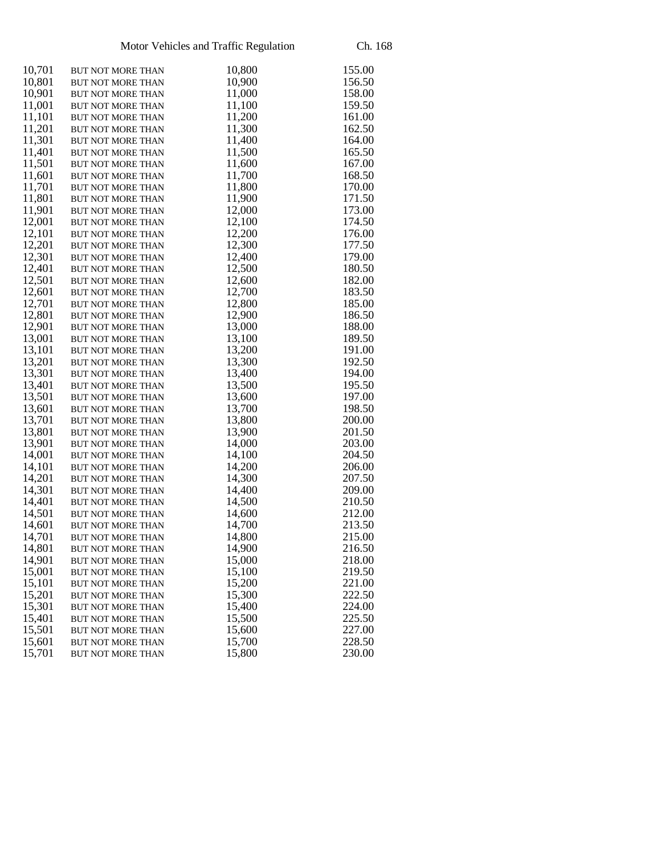| 10,701 | BUT NOT MORE THAN        | 10,800 | 155.00 |
|--------|--------------------------|--------|--------|
| 10,801 | <b>BUT NOT MORE THAN</b> | 10,900 | 156.50 |
| 10,901 | <b>BUT NOT MORE THAN</b> | 11,000 | 158.00 |
| 11,001 | BUT NOT MORE THAN        | 11,100 | 159.50 |
| 11,101 | BUT NOT MORE THAN        | 11,200 | 161.00 |
| 11,201 | BUT NOT MORE THAN        | 11,300 | 162.50 |
| 11,301 | BUT NOT MORE THAN        | 11,400 | 164.00 |
| 11,401 | BUT NOT MORE THAN        | 11,500 | 165.50 |
| 11,501 | BUT NOT MORE THAN        | 11,600 | 167.00 |
| 11,601 | BUT NOT MORE THAN        | 11,700 | 168.50 |
| 11,701 | <b>BUT NOT MORE THAN</b> | 11,800 | 170.00 |
| 11,801 | BUT NOT MORE THAN        | 11,900 | 171.50 |
| 11,901 | <b>BUT NOT MORE THAN</b> | 12,000 | 173.00 |
| 12,001 | BUT NOT MORE THAN        | 12,100 | 174.50 |
| 12,101 | BUT NOT MORE THAN        | 12,200 | 176.00 |
| 12,201 | BUT NOT MORE THAN        | 12,300 | 177.50 |
| 12,301 | BUT NOT MORE THAN        | 12,400 | 179.00 |
| 12,401 | <b>BUT NOT MORE THAN</b> | 12,500 | 180.50 |
| 12,501 | BUT NOT MORE THAN        | 12,600 | 182.00 |
| 12,601 | BUT NOT MORE THAN        | 12,700 | 183.50 |
| 12,701 | <b>BUT NOT MORE THAN</b> | 12,800 | 185.00 |
| 12,801 | BUT NOT MORE THAN        | 12,900 | 186.50 |
| 12,901 | <b>BUT NOT MORE THAN</b> | 13,000 | 188.00 |
| 13,001 | BUT NOT MORE THAN        | 13,100 | 189.50 |
| 13,101 | BUT NOT MORE THAN        | 13,200 | 191.00 |
| 13,201 | BUT NOT MORE THAN        | 13,300 | 192.50 |
| 13,301 | BUT NOT MORE THAN        | 13,400 | 194.00 |
| 13,401 | <b>BUT NOT MORE THAN</b> | 13,500 | 195.50 |
| 13,501 | BUT NOT MORE THAN        | 13,600 | 197.00 |
| 13,601 | BUT NOT MORE THAN        | 13,700 | 198.50 |
| 13,701 | <b>BUT NOT MORE THAN</b> | 13,800 | 200.00 |
| 13,801 | BUT NOT MORE THAN        | 13,900 | 201.50 |
| 13,901 | BUT NOT MORE THAN        | 14,000 | 203.00 |
| 14,001 | BUT NOT MORE THAN        | 14,100 | 204.50 |
| 14,101 | BUT NOT MORE THAN        | 14,200 | 206.00 |
| 14,201 | BUT NOT MORE THAN        | 14,300 | 207.50 |
| 14,301 | BUT NOT MORE THAN        | 14,400 | 209.00 |
| 14,401 | BUT NOT MORE THAN        | 14,500 | 210.50 |
| 14,501 | BUT NOT MORE THAN        | 14,600 | 212.00 |
| 14,601 | BUT NOT MORE THAN        | 14,700 | 213.50 |
| 14,701 | <b>BUT NOT MORE THAN</b> | 14,800 | 215.00 |
| 14,801 | BUT NOT MORE THAN        | 14,900 | 216.50 |
| 14,901 | BUT NOT MORE THAN        | 15,000 | 218.00 |
| 15,001 | <b>BUT NOT MORE THAN</b> | 15,100 | 219.50 |
| 15,101 | BUT NOT MORE THAN        | 15,200 | 221.00 |
| 15,201 | <b>BUT NOT MORE THAN</b> | 15,300 | 222.50 |
| 15,301 | BUT NOT MORE THAN        | 15,400 | 224.00 |
| 15,401 | <b>BUT NOT MORE THAN</b> | 15,500 | 225.50 |
| 15,501 | <b>BUT NOT MORE THAN</b> | 15,600 | 227.00 |
| 15,601 | <b>BUT NOT MORE THAN</b> | 15,700 | 228.50 |
| 15,701 | BUT NOT MORE THAN        | 15,800 | 230.00 |
|        |                          |        |        |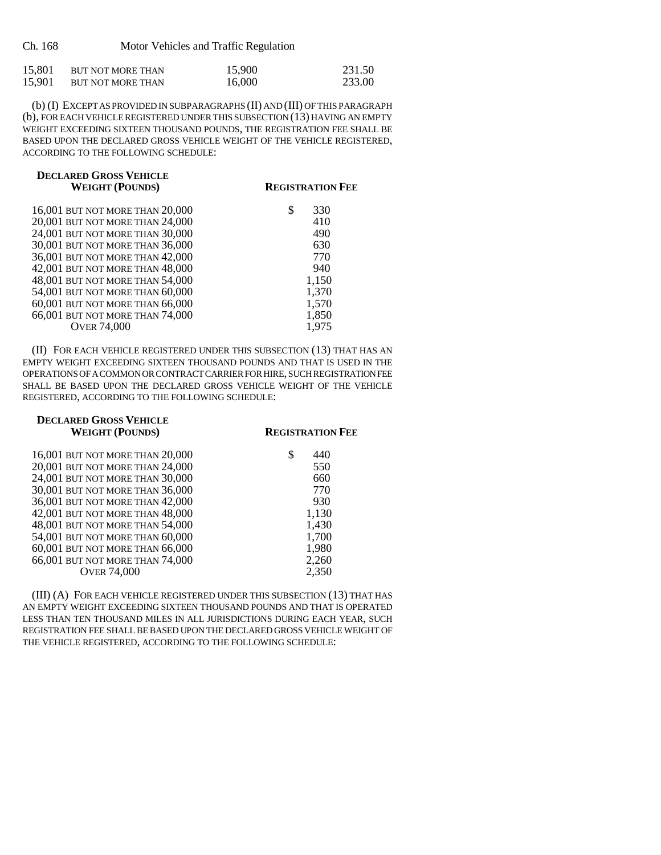| Ch. 168 | Motor Vehicles and Traffic Regulation |  |
|---------|---------------------------------------|--|
|         |                                       |  |

| 15,801 | BUT NOT MORE THAN | 15,900 | 231.50 |
|--------|-------------------|--------|--------|
| 15,901 | BUT NOT MORE THAN | 16,000 | 233.00 |

(b) (I) EXCEPT AS PROVIDED IN SUBPARAGRAPHS (II) AND (III) OF THIS PARAGRAPH (b), FOR EACH VEHICLE REGISTERED UNDER THIS SUBSECTION (13) HAVING AN EMPTY WEIGHT EXCEEDING SIXTEEN THOUSAND POUNDS, THE REGISTRATION FEE SHALL BE BASED UPON THE DECLARED GROSS VEHICLE WEIGHT OF THE VEHICLE REGISTERED, ACCORDING TO THE FOLLOWING SCHEDULE:

| <b>DECLARED GROSS VEHICLE</b><br><b>WEIGHT (POUNDS)</b> | <b>REGISTRATION FEE</b> |
|---------------------------------------------------------|-------------------------|
| 16,001 BUT NOT MORE THAN 20,000                         | S<br>330                |
| 20,001 BUT NOT MORE THAN 24,000                         | 410                     |
| 24,001 BUT NOT MORE THAN 30,000                         | 490                     |
| 30,001 BUT NOT MORE THAN 36,000                         | 630                     |
| 36,001 BUT NOT MORE THAN 42,000                         | 770                     |
| 42,001 BUT NOT MORE THAN 48,000                         | 940                     |
| 48,001 BUT NOT MORE THAN 54,000                         | 1,150                   |
| 54,001 BUT NOT MORE THAN 60,000                         | 1,370                   |
| 60,001 BUT NOT MORE THAN 66,000                         | 1,570                   |
| 66,001 BUT NOT MORE THAN 74,000                         | 1,850                   |
| <b>OVER 74,000</b>                                      | 1,975                   |
|                                                         |                         |

(II) FOR EACH VEHICLE REGISTERED UNDER THIS SUBSECTION (13) THAT HAS AN EMPTY WEIGHT EXCEEDING SIXTEEN THOUSAND POUNDS AND THAT IS USED IN THE OPERATIONS OF A COMMON OR CONTRACT CARRIER FOR HIRE, SUCH REGISTRATION FEE SHALL BE BASED UPON THE DECLARED GROSS VEHICLE WEIGHT OF THE VEHICLE REGISTERED, ACCORDING TO THE FOLLOWING SCHEDULE:

| <b>DECLARED GROSS VEHICLE</b><br><b>WEIGHT (POUNDS)</b> | <b>REGISTRATION FEE</b> |
|---------------------------------------------------------|-------------------------|
| 16,001 BUT NOT MORE THAN 20,000                         | 440                     |
| 20,001 BUT NOT MORE THAN 24,000                         | 550                     |
| 24,001 BUT NOT MORE THAN 30,000                         | 660                     |
| 30,001 BUT NOT MORE THAN 36,000                         | 770                     |
| 36,001 BUT NOT MORE THAN 42,000                         | 930                     |
| 42,001 BUT NOT MORE THAN 48,000                         | 1,130                   |
| 48,001 BUT NOT MORE THAN 54,000                         | 1,430                   |
| 54,001 BUT NOT MORE THAN 60,000                         | 1,700                   |
| 60,001 BUT NOT MORE THAN 66,000                         | 1,980                   |
| 66,001 BUT NOT MORE THAN 74,000                         | 2,260                   |
| <b>OVER 74,000</b>                                      | 2.350                   |

(III) (A) FOR EACH VEHICLE REGISTERED UNDER THIS SUBSECTION (13) THAT HAS AN EMPTY WEIGHT EXCEEDING SIXTEEN THOUSAND POUNDS AND THAT IS OPERATED LESS THAN TEN THOUSAND MILES IN ALL JURISDICTIONS DURING EACH YEAR, SUCH REGISTRATION FEE SHALL BE BASED UPON THE DECLARED GROSS VEHICLE WEIGHT OF THE VEHICLE REGISTERED, ACCORDING TO THE FOLLOWING SCHEDULE: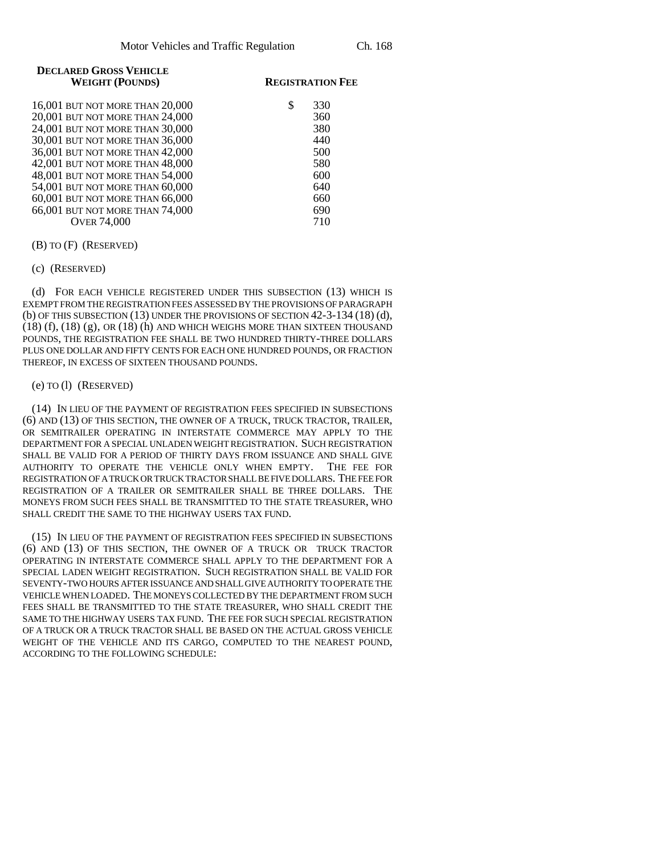| <b>DECLARED GROSS VEHICLE</b> |  |
|-------------------------------|--|
| <b>WEIGHT (POUNDS)</b>        |  |

#### **REGISTRATION FEE**

| 16,001 BUT NOT MORE THAN 20,000 | 330 |
|---------------------------------|-----|
| 20,001 BUT NOT MORE THAN 24,000 | 360 |
| 24,001 BUT NOT MORE THAN 30,000 | 380 |
| 30,001 BUT NOT MORE THAN 36,000 | 440 |
| 36,001 BUT NOT MORE THAN 42,000 | 500 |
| 42,001 BUT NOT MORE THAN 48,000 | 580 |
| 48,001 BUT NOT MORE THAN 54,000 | 600 |
| 54,001 BUT NOT MORE THAN 60,000 | 640 |
| 60,001 BUT NOT MORE THAN 66,000 | 660 |
| 66,001 BUT NOT MORE THAN 74,000 | 690 |
| <b>OVER 74,000</b>              | 710 |
|                                 |     |

#### (B) TO (F) (RESERVED)

(c) (RESERVED)

(d) FOR EACH VEHICLE REGISTERED UNDER THIS SUBSECTION (13) WHICH IS EXEMPT FROM THE REGISTRATION FEES ASSESSED BY THE PROVISIONS OF PARAGRAPH (b) OF THIS SUBSECTION (13) UNDER THE PROVISIONS OF SECTION 42-3-134 (18) (d), (18) (f), (18) (g), OR (18) (h) AND WHICH WEIGHS MORE THAN SIXTEEN THOUSAND POUNDS, THE REGISTRATION FEE SHALL BE TWO HUNDRED THIRTY-THREE DOLLARS PLUS ONE DOLLAR AND FIFTY CENTS FOR EACH ONE HUNDRED POUNDS, OR FRACTION THEREOF, IN EXCESS OF SIXTEEN THOUSAND POUNDS.

### (e) TO (l) (RESERVED)

(14) IN LIEU OF THE PAYMENT OF REGISTRATION FEES SPECIFIED IN SUBSECTIONS (6) AND (13) OF THIS SECTION, THE OWNER OF A TRUCK, TRUCK TRACTOR, TRAILER, OR SEMITRAILER OPERATING IN INTERSTATE COMMERCE MAY APPLY TO THE DEPARTMENT FOR A SPECIAL UNLADEN WEIGHT REGISTRATION. SUCH REGISTRATION SHALL BE VALID FOR A PERIOD OF THIRTY DAYS FROM ISSUANCE AND SHALL GIVE AUTHORITY TO OPERATE THE VEHICLE ONLY WHEN EMPTY. THE FEE FOR REGISTRATION OF A TRUCK OR TRUCK TRACTOR SHALL BE FIVE DOLLARS. THE FEE FOR REGISTRATION OF A TRAILER OR SEMITRAILER SHALL BE THREE DOLLARS. THE MONEYS FROM SUCH FEES SHALL BE TRANSMITTED TO THE STATE TREASURER, WHO SHALL CREDIT THE SAME TO THE HIGHWAY USERS TAX FUND.

(15) IN LIEU OF THE PAYMENT OF REGISTRATION FEES SPECIFIED IN SUBSECTIONS (6) AND (13) OF THIS SECTION, THE OWNER OF A TRUCK OR TRUCK TRACTOR OPERATING IN INTERSTATE COMMERCE SHALL APPLY TO THE DEPARTMENT FOR A SPECIAL LADEN WEIGHT REGISTRATION. SUCH REGISTRATION SHALL BE VALID FOR SEVENTY-TWO HOURS AFTER ISSUANCE AND SHALL GIVE AUTHORITY TO OPERATE THE VEHICLE WHEN LOADED. THE MONEYS COLLECTED BY THE DEPARTMENT FROM SUCH FEES SHALL BE TRANSMITTED TO THE STATE TREASURER, WHO SHALL CREDIT THE SAME TO THE HIGHWAY USERS TAX FUND. THE FEE FOR SUCH SPECIAL REGISTRATION OF A TRUCK OR A TRUCK TRACTOR SHALL BE BASED ON THE ACTUAL GROSS VEHICLE WEIGHT OF THE VEHICLE AND ITS CARGO, COMPUTED TO THE NEAREST POUND, ACCORDING TO THE FOLLOWING SCHEDULE: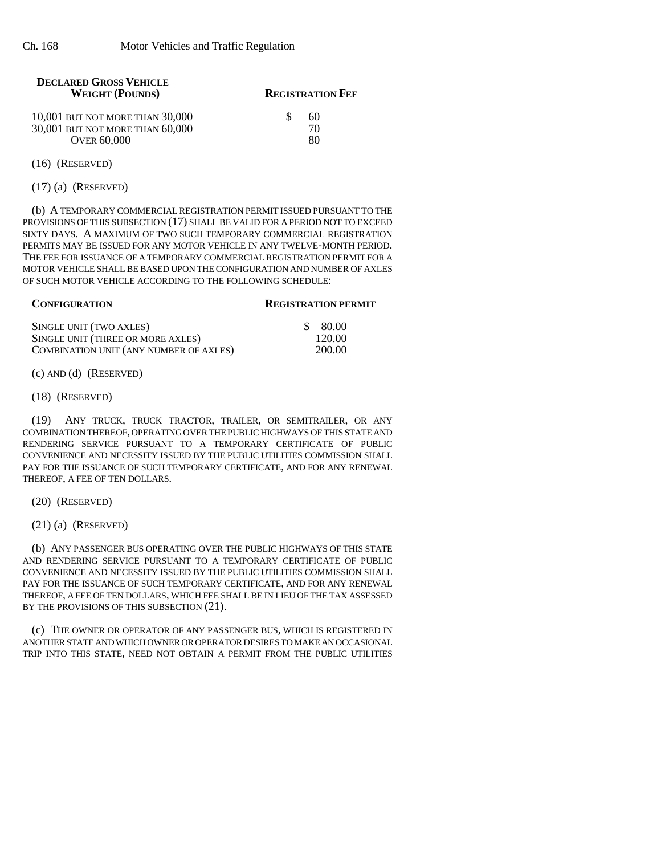| <b>DECLARED GROSS VEHICLE</b><br><b>WEIGHT (POUNDS)</b> | <b>REGISTRATION FEE</b> |  |  |
|---------------------------------------------------------|-------------------------|--|--|
| 10,001 BUT NOT MORE THAN 30,000                         | 60                      |  |  |
| 30,001 BUT NOT MORE THAN 60,000                         | 70                      |  |  |
| <b>OVER 60.000</b>                                      | 80                      |  |  |
|                                                         |                         |  |  |

(16) (RESERVED)

(17) (a) (RESERVED)

(b) A TEMPORARY COMMERCIAL REGISTRATION PERMIT ISSUED PURSUANT TO THE PROVISIONS OF THIS SUBSECTION (17) SHALL BE VALID FOR A PERIOD NOT TO EXCEED SIXTY DAYS. A MAXIMUM OF TWO SUCH TEMPORARY COMMERCIAL REGISTRATION PERMITS MAY BE ISSUED FOR ANY MOTOR VEHICLE IN ANY TWELVE-MONTH PERIOD. THE FEE FOR ISSUANCE OF A TEMPORARY COMMERCIAL REGISTRATION PERMIT FOR A MOTOR VEHICLE SHALL BE BASED UPON THE CONFIGURATION AND NUMBER OF AXLES OF SUCH MOTOR VEHICLE ACCORDING TO THE FOLLOWING SCHEDULE:

#### **CONFIGURATION REGISTRATION PERMIT**

| SINGLE UNIT (TWO AXLES)                | \$ 80.00 |
|----------------------------------------|----------|
| SINGLE UNIT (THREE OR MORE AXLES)      | 120.00   |
| COMBINATION UNIT (ANY NUMBER OF AXLES) | 200.00   |

(c) AND (d) (RESERVED)

(18) (RESERVED)

(19) ANY TRUCK, TRUCK TRACTOR, TRAILER, OR SEMITRAILER, OR ANY COMBINATION THEREOF, OPERATING OVER THE PUBLIC HIGHWAYS OF THIS STATE AND RENDERING SERVICE PURSUANT TO A TEMPORARY CERTIFICATE OF PUBLIC CONVENIENCE AND NECESSITY ISSUED BY THE PUBLIC UTILITIES COMMISSION SHALL PAY FOR THE ISSUANCE OF SUCH TEMPORARY CERTIFICATE, AND FOR ANY RENEWAL THEREOF, A FEE OF TEN DOLLARS.

(20) (RESERVED)

(21) (a) (RESERVED)

(b) ANY PASSENGER BUS OPERATING OVER THE PUBLIC HIGHWAYS OF THIS STATE AND RENDERING SERVICE PURSUANT TO A TEMPORARY CERTIFICATE OF PUBLIC CONVENIENCE AND NECESSITY ISSUED BY THE PUBLIC UTILITIES COMMISSION SHALL PAY FOR THE ISSUANCE OF SUCH TEMPORARY CERTIFICATE, AND FOR ANY RENEWAL THEREOF, A FEE OF TEN DOLLARS, WHICH FEE SHALL BE IN LIEU OF THE TAX ASSESSED BY THE PROVISIONS OF THIS SUBSECTION (21).

(c) THE OWNER OR OPERATOR OF ANY PASSENGER BUS, WHICH IS REGISTERED IN ANOTHER STATE AND WHICH OWNER OR OPERATOR DESIRES TO MAKE AN OCCASIONAL TRIP INTO THIS STATE, NEED NOT OBTAIN A PERMIT FROM THE PUBLIC UTILITIES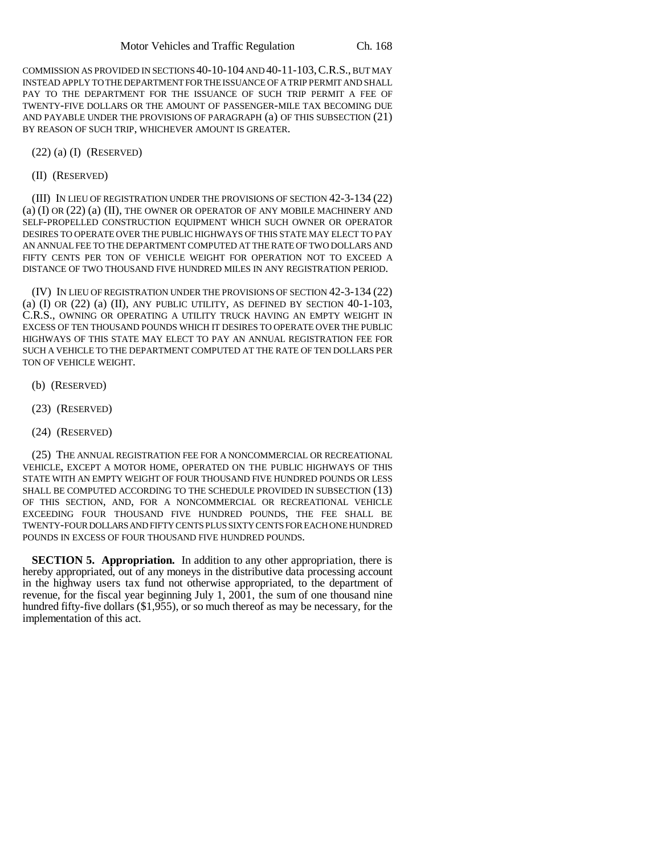COMMISSION AS PROVIDED IN SECTIONS 40-10-104 AND 40-11-103,C.R.S., BUT MAY INSTEAD APPLY TO THE DEPARTMENT FOR THE ISSUANCE OF A TRIP PERMIT AND SHALL PAY TO THE DEPARTMENT FOR THE ISSUANCE OF SUCH TRIP PERMIT A FEE OF TWENTY-FIVE DOLLARS OR THE AMOUNT OF PASSENGER-MILE TAX BECOMING DUE AND PAYABLE UNDER THE PROVISIONS OF PARAGRAPH (a) OF THIS SUBSECTION (21) BY REASON OF SUCH TRIP, WHICHEVER AMOUNT IS GREATER.

(22) (a) (I) (RESERVED)

(II) (RESERVED)

(III) IN LIEU OF REGISTRATION UNDER THE PROVISIONS OF SECTION 42-3-134 (22) (a) (I) OR (22) (a) (II), THE OWNER OR OPERATOR OF ANY MOBILE MACHINERY AND SELF-PROPELLED CONSTRUCTION EQUIPMENT WHICH SUCH OWNER OR OPERATOR DESIRES TO OPERATE OVER THE PUBLIC HIGHWAYS OF THIS STATE MAY ELECT TO PAY AN ANNUAL FEE TO THE DEPARTMENT COMPUTED AT THE RATE OF TWO DOLLARS AND FIFTY CENTS PER TON OF VEHICLE WEIGHT FOR OPERATION NOT TO EXCEED A DISTANCE OF TWO THOUSAND FIVE HUNDRED MILES IN ANY REGISTRATION PERIOD.

(IV) IN LIEU OF REGISTRATION UNDER THE PROVISIONS OF SECTION 42-3-134 (22) (a)  $(I)$  OR  $(22)$   $(I)$ , ANY PUBLIC UTILITY, AS DEFINED BY SECTION  $40-1-103$ , C.R.S., OWNING OR OPERATING A UTILITY TRUCK HAVING AN EMPTY WEIGHT IN EXCESS OF TEN THOUSAND POUNDS WHICH IT DESIRES TO OPERATE OVER THE PUBLIC HIGHWAYS OF THIS STATE MAY ELECT TO PAY AN ANNUAL REGISTRATION FEE FOR SUCH A VEHICLE TO THE DEPARTMENT COMPUTED AT THE RATE OF TEN DOLLARS PER TON OF VEHICLE WEIGHT.

- (b) (RESERVED)
- (23) (RESERVED)
- (24) (RESERVED)

(25) THE ANNUAL REGISTRATION FEE FOR A NONCOMMERCIAL OR RECREATIONAL VEHICLE, EXCEPT A MOTOR HOME, OPERATED ON THE PUBLIC HIGHWAYS OF THIS STATE WITH AN EMPTY WEIGHT OF FOUR THOUSAND FIVE HUNDRED POUNDS OR LESS SHALL BE COMPUTED ACCORDING TO THE SCHEDULE PROVIDED IN SUBSECTION (13) OF THIS SECTION, AND, FOR A NONCOMMERCIAL OR RECREATIONAL VEHICLE EXCEEDING FOUR THOUSAND FIVE HUNDRED POUNDS, THE FEE SHALL BE TWENTY-FOUR DOLLARS AND FIFTY CENTS PLUS SIXTY CENTS FOR EACH ONE HUNDRED POUNDS IN EXCESS OF FOUR THOUSAND FIVE HUNDRED POUNDS.

**SECTION 5. Appropriation.** In addition to any other appropriation, there is hereby appropriated, out of any moneys in the distributive data processing account in the highway users tax fund not otherwise appropriated, to the department of revenue, for the fiscal year beginning July 1, 2001, the sum of one thousand nine hundred fifty-five dollars (\$1,955), or so much thereof as may be necessary, for the implementation of this act.